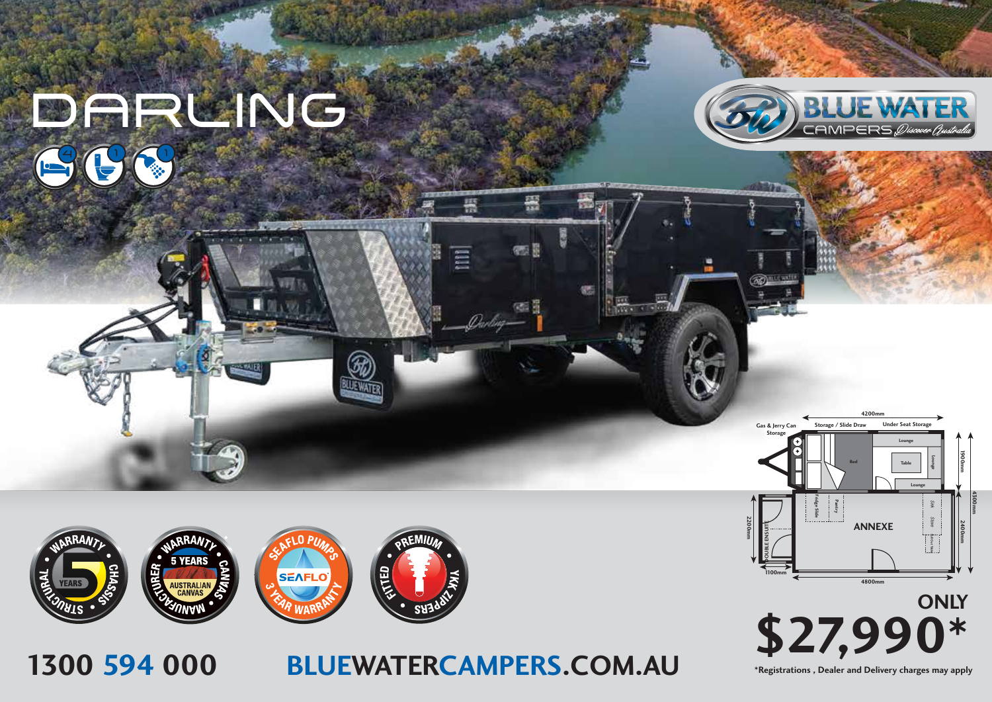